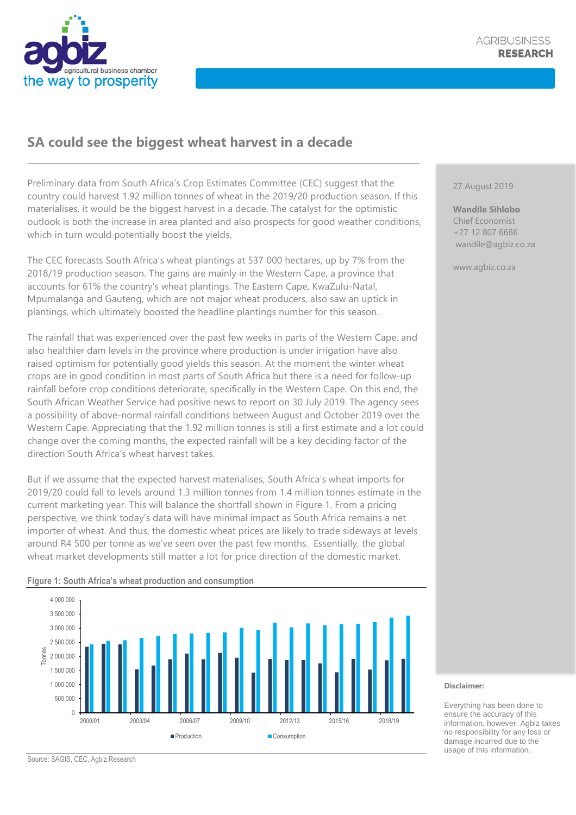

## **SA could see the biggest wheat harvest in a decade**

Preliminary data from South Africa's Crop Estimates Committee (CEC) suggest that the country could harvest 1.92 million tonnes of wheat in the 2019/20 production season. If this materialises, it would be the biggest harvest in a decade. The catalyst for the optimistic outlook is both the increase in area planted and also prospects for good weather conditions, which in turn would potentially boost the yields.

The CEC forecasts South Africa's wheat plantings at 537 000 hectares, up by 7% from the 2018/19 production season. The gains are mainly in the Western Cape, a province that accounts for 61% the country's wheat plantings. The Eastern Cape, KwaZulu-Natal, Mpumalanga and Gauteng, which are not major wheat producers, also saw an uptick in plantings, which ultimately boosted the headline plantings number for this season.

The rainfall that was experienced over the past few weeks in parts of the Western Cape, and also healthier dam levels in the province where production is under irrigation have also raised optimism for potentially good yields this season. At the moment the winter wheat crops are in good condition in most parts of South Africa but there is a need for follow-up rainfall before crop conditions deteriorate, specifically in the Western Cape. On this end, the South African Weather Service had positive news to report on 30 July 2019. The agency sees a possibility of above-normal rainfall conditions between August and October 2019 over the Western Cape. Appreciating that the 1.92 million tonnes is still a first estimate and a lot could change over the coming months, the expected rainfall will be a key deciding factor of the direction South Africa's wheat harvest takes.

But if we assume that the expected harvest materialises, South Africa's wheat imports for 2019/20 could fall to levels around 1.3 million tonnes from 1.4 million tonnes estimate in the current marketing year. This will balance the shortfall shown in Figure 1. From a pricing perspective, we think today's data will have minimal impact as South Africa remains a net importer of wheat. And thus, the domestic wheat prices are likely to trade sideways at levels around R4 500 per tonne as we've seen over the past few months. Essentially, the global wheat market developments still matter a lot for price direction of the domestic market.

## **Figure 1: South Africa's wheat production and consumption**



## 27 August 2019

**Wandile Sihlobo** Chief Economist +27 12 807 6686 wandile@agbiz.co.za

www.agbiz.co.za

## **Disclaimer:**

Everything has been done to ensure the accuracy of this information, however, Agbiz takes no responsibility for any loss or damage incurred due to the usage of this information.

Source: SAGIS, CEC, Agbiz Research